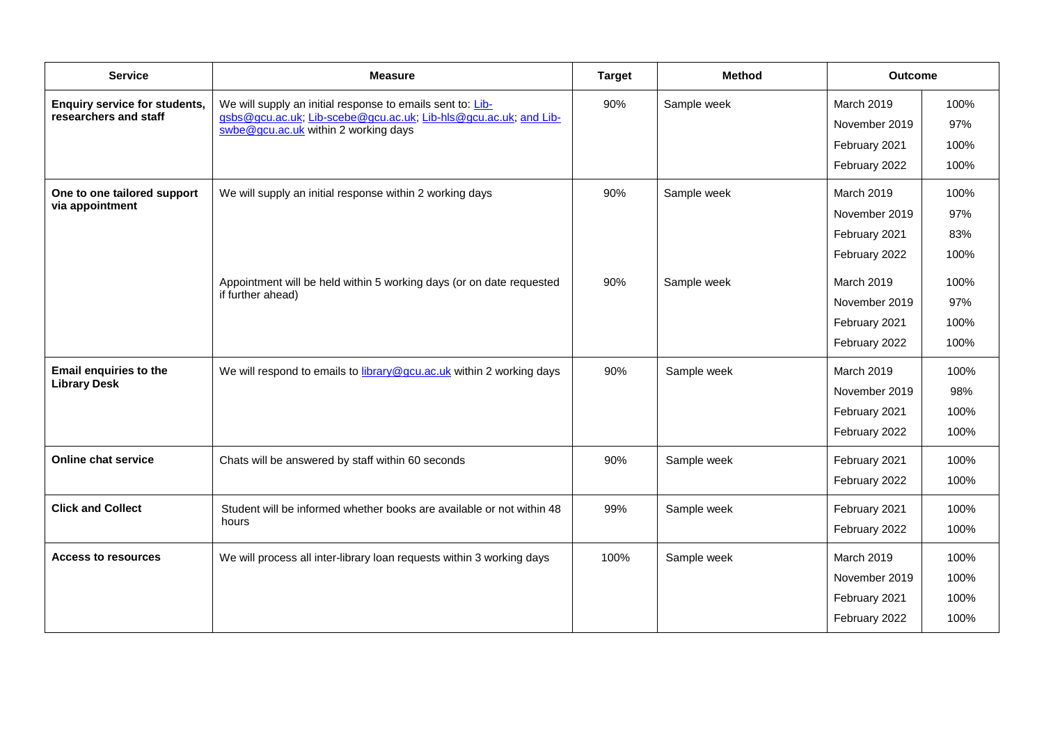| <b>Service</b>                                                | <b>Measure</b>                                                                                                                                                         | <b>Target</b> | <b>Method</b> | <b>Outcome</b>                                                |                              |
|---------------------------------------------------------------|------------------------------------------------------------------------------------------------------------------------------------------------------------------------|---------------|---------------|---------------------------------------------------------------|------------------------------|
| <b>Enquiry service for students,</b><br>researchers and staff | We will supply an initial response to emails sent to: Lib-<br>gsbs@gcu.ac.uk; Lib-scebe@gcu.ac.uk; Lib-hls@gcu.ac.uk; and Lib-<br>swbe@gcu.ac.uk within 2 working days | 90%           | Sample week   | March 2019<br>November 2019<br>February 2021<br>February 2022 | 100%<br>97%<br>100%<br>100%  |
| One to one tailored support<br>via appointment                | We will supply an initial response within 2 working days                                                                                                               | 90%           | Sample week   | March 2019<br>November 2019<br>February 2021<br>February 2022 | 100%<br>97%<br>83%<br>100%   |
|                                                               | Appointment will be held within 5 working days (or on date requested<br>if further ahead)                                                                              | 90%           | Sample week   | March 2019<br>November 2019<br>February 2021<br>February 2022 | 100%<br>97%<br>100%<br>100%  |
| Email enquiries to the<br><b>Library Desk</b>                 | We will respond to emails to library@gcu.ac.uk within 2 working days                                                                                                   | 90%           | Sample week   | March 2019<br>November 2019<br>February 2021<br>February 2022 | 100%<br>98%<br>100%<br>100%  |
| Online chat service                                           | Chats will be answered by staff within 60 seconds                                                                                                                      | 90%           | Sample week   | February 2021<br>February 2022                                | 100%<br>100%                 |
| <b>Click and Collect</b>                                      | Student will be informed whether books are available or not within 48<br>hours                                                                                         | 99%           | Sample week   | February 2021<br>February 2022                                | 100%<br>100%                 |
| <b>Access to resources</b>                                    | We will process all inter-library loan requests within 3 working days                                                                                                  | 100%          | Sample week   | March 2019<br>November 2019<br>February 2021<br>February 2022 | 100%<br>100%<br>100%<br>100% |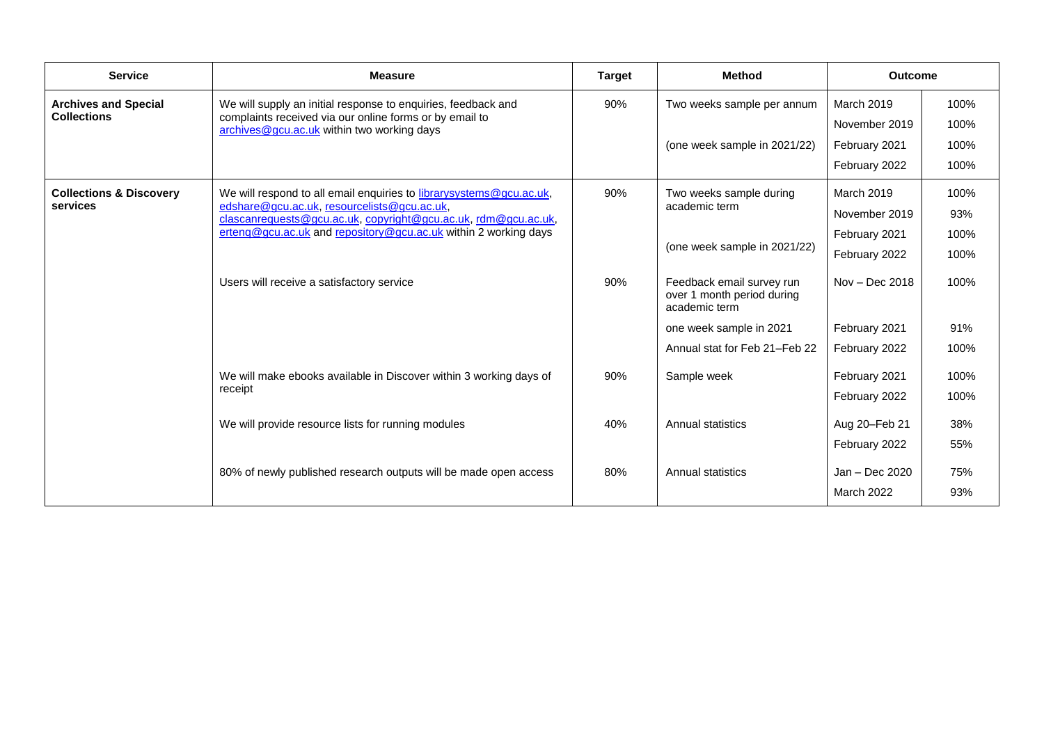| <b>Service</b>                                 | <b>Measure</b>                                                                                                                                                                                                                                          | <b>Target</b> | <b>Method</b>                                                            | <b>Outcome</b>   |      |
|------------------------------------------------|---------------------------------------------------------------------------------------------------------------------------------------------------------------------------------------------------------------------------------------------------------|---------------|--------------------------------------------------------------------------|------------------|------|
| <b>Archives and Special</b>                    | We will supply an initial response to enquiries, feedback and<br>complaints received via our online forms or by email to<br>archives@gcu.ac.uk within two working days                                                                                  | 90%           | Two weeks sample per annum                                               | March 2019       | 100% |
| <b>Collections</b>                             |                                                                                                                                                                                                                                                         |               |                                                                          | November 2019    | 100% |
|                                                |                                                                                                                                                                                                                                                         |               | (one week sample in 2021/22)                                             | February 2021    | 100% |
|                                                |                                                                                                                                                                                                                                                         |               |                                                                          | February 2022    | 100% |
| <b>Collections &amp; Discovery</b><br>services | We will respond to all email enquiries to librarysystems@gcu.ac.uk,<br>edshare@gcu.ac.uk, resourcelists@gcu.ac.uk,<br>clascanrequests@gcu.ac.uk, copyright@gcu.ac.uk, rdm@gcu.ac.uk,<br>erteng@gcu.ac.uk and repository@gcu.ac.uk within 2 working days | 90%           | Two weeks sample during<br>academic term                                 | March 2019       | 100% |
|                                                |                                                                                                                                                                                                                                                         |               |                                                                          | November 2019    | 93%  |
|                                                |                                                                                                                                                                                                                                                         |               | (one week sample in 2021/22)                                             | February 2021    | 100% |
|                                                |                                                                                                                                                                                                                                                         |               |                                                                          | February 2022    | 100% |
|                                                | Users will receive a satisfactory service                                                                                                                                                                                                               | 90%           | Feedback email survey run<br>over 1 month period during<br>academic term | $Nov - Dec 2018$ | 100% |
|                                                |                                                                                                                                                                                                                                                         |               | one week sample in 2021                                                  | February 2021    | 91%  |
|                                                |                                                                                                                                                                                                                                                         |               | Annual stat for Feb 21-Feb 22                                            | February 2022    | 100% |
|                                                | We will make ebooks available in Discover within 3 working days of<br>receipt                                                                                                                                                                           | 90%           | Sample week                                                              | February 2021    | 100% |
|                                                |                                                                                                                                                                                                                                                         |               |                                                                          | February 2022    | 100% |
|                                                | We will provide resource lists for running modules                                                                                                                                                                                                      | 40%           | Annual statistics                                                        | Aug 20-Feb 21    | 38%  |
|                                                |                                                                                                                                                                                                                                                         |               |                                                                          | February 2022    | 55%  |
|                                                | 80% of newly published research outputs will be made open access                                                                                                                                                                                        | 80%           | <b>Annual statistics</b>                                                 | Jan - Dec 2020   | 75%  |
|                                                |                                                                                                                                                                                                                                                         |               |                                                                          | March 2022       | 93%  |